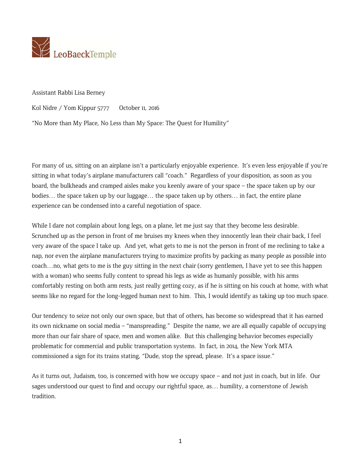

Assistant Rabbi Lisa Berney

Kol Nidre / Yom Kippur 5777 October 11, 2016

"No More than My Place, No Less than My Space: The Quest for Humility"

For many of us, sitting on an airplane isn't a particularly enjoyable experience. It's even less enjoyable if you're sitting in what today's airplane manufacturers call "coach." Regardless of your disposition, as soon as you board, the bulkheads and cramped aisles make you keenly aware of your space – the space taken up by our bodies… the space taken up by our luggage… the space taken up by others… in fact, the entire plane experience can be condensed into a careful negotiation of space.

While I dare not complain about long legs, on a plane, let me just say that they become less desirable. Scrunched up as the person in front of me bruises my knees when they innocently lean their chair back, I feel very aware of the space I take up. And yet, what gets to me is not the person in front of me reclining to take a nap, nor even the airplane manufacturers trying to maximize profits by packing as many people as possible into coach…no, what gets to me is the guy sitting in the next chair (sorry gentlemen, I have yet to see this happen with a woman) who seems fully content to spread his legs as wide as humanly possible, with his arms comfortably resting on both arm rests, just really getting cozy, as if he is sitting on his couch at home, with what seems like no regard for the long-legged human next to him. This, I would identify as taking up too much space.

Our tendency to seize not only our own space, but that of others, has become so widespread that it has earned its own nickname on social media – "manspreading." Despite the name, we are all equally capable of occupying more than our fair share of space, men and women alike. But this challenging behavior becomes especially problematic for commercial and public transportation systems. In fact, in 2014, the New York MTA commissioned a sign for its trains stating, "Dude, stop the spread, please. It's a space issue."

As it turns out, Judaism, too, is concerned with how we occupy space – and not just in coach, but in life. Our sages understood our quest to find and occupy our rightful space, as… humility, a cornerstone of Jewish tradition.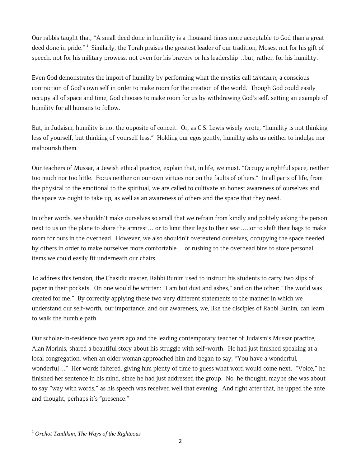Our rabbis taught that, "A small deed done in humility is a thousand times more acceptable to God than a great deed done in pride."<sup>1</sup> Similarly, the Torah praises the greatest leader of our tradition, Moses, not for his gift of speech, not for his military prowess, not even for his bravery or his leadership...but, rather, for his humility.

Even God demonstrates the import of humility by performing what the mystics call *tzimtzum*, a conscious contraction of God's own self in order to make room for the creation of the world. Though God could easily occupy all of space and time, God chooses to make room for us by withdrawing God's self, setting an example of humility for all humans to follow.

But, in Judaism, humility is not the opposite of conceit. Or, as C.S. Lewis wisely wrote, "humility is not thinking less of yourself, but thinking of yourself less." Holding our egos gently, humility asks us neither to indulge nor malnourish them.

Our teachers of Mussar, a Jewish ethical practice, explain that, in life, we must, "Occupy a rightful space, neither too much nor too little. Focus neither on our own virtues nor on the faults of others." In all parts of life, from the physical to the emotional to the spiritual, we are called to cultivate an honest awareness of ourselves and the space we ought to take up, as well as an awareness of others and the space that they need.

In other words, we shouldn't make ourselves so small that we refrain from kindly and politely asking the person next to us on the plane to share the armrest… or to limit their legs to their seat…..or to shift their bags to make room for ours in the overhead. However, we also shouldn't overextend ourselves, occupying the space needed by others in order to make ourselves more comfortable… or rushing to the overhead bins to store personal items we could easily fit underneath our chairs.

To address this tension, the Chasidic master, Rabbi Bunim used to instruct his students to carry two slips of paper in their pockets. On one would be written: "I am but dust and ashes," and on the other: "The world was created for me." By correctly applying these two very different statements to the manner in which we understand our self-worth, our importance, and our awareness, we, like the disciples of Rabbi Bunim, can learn to walk the humble path.

Our scholar-in-residence two years ago and the leading contemporary teacher of Judaism's Mussar practice, Alan Morinis, shared a beautiful story about his struggle with self-worth. He had just finished speaking at a local congregation, when an older woman approached him and began to say, "You have a wonderful, wonderful…" Her words faltered, giving him plenty of time to guess what word would come next. "Voice," he finished her sentence in his mind, since he had just addressed the group. No, he thought, maybe she was about to say "way with words," as his speech was received well that evening. And right after that, he upped the ante and thought, perhaps it's "presence."

 <sup>1</sup> *Orchot Tzadikim, The Ways of the Righteous*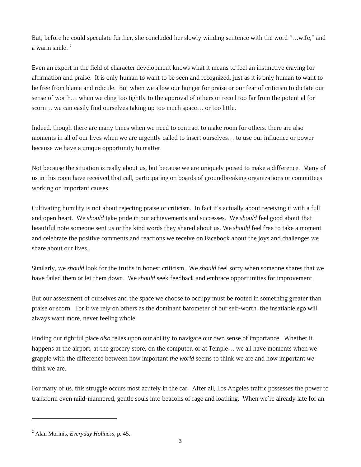But, before he could speculate further, she concluded her slowly winding sentence with the word "…wife," and a warm smile.<sup>2</sup>

Even an expert in the field of character development knows what it means to feel an instinctive craving for affirmation and praise. It is only human to want to be seen and recognized, just as it is only human to want to be free from blame and ridicule. But when we allow our hunger for praise or our fear of criticism to dictate our sense of worth… when we cling too tightly to the approval of others or recoil too far from the potential for scorn… we can easily find ourselves taking up too much space… or too little.

Indeed, though there are many times when we need to contract to make room for others, there are also moments in all of our lives when we are urgently called to insert ourselves… to use our influence or power because we have a unique opportunity to matter.

Not because the situation is really about us, but because we are uniquely poised to make a difference. Many of us in this room have received that call, participating on boards of groundbreaking organizations or committees working on important causes.

Cultivating humility is not about rejecting praise or criticism. In fact it's actually about receiving it with a full and open heart. We *should* take pride in our achievements and successes. We *should* feel good about that beautiful note someone sent us or the kind words they shared about us. We *should* feel free to take a moment and celebrate the positive comments and reactions we receive on Facebook about the joys and challenges we share about our lives.

Similarly, we *should* look for the truths in honest criticism. We *should* feel sorry when someone shares that we have failed them or let them down. We *should* seek feedback and embrace opportunities for improvement.

But our assessment of ourselves and the space we choose to occupy must be rooted in something greater than praise or scorn. For if we rely on others as the dominant barometer of our self-worth, the insatiable ego will always want more, never feeling whole.

Finding our rightful place *also* relies upon our ability to navigate our own sense of importance. Whether it happens at the airport, at the grocery store, on the computer, or at Temple… we all have moments when we grapple with the difference between how important *the world* seems to think we are and how important *we* think we are.

For many of us, this struggle occurs most acutely in the car. After all, Los Angeles traffic possesses the power to transform even mild-mannered, gentle souls into beacons of rage and loathing. When we're already late for an

<sup>2</sup> Alan Morinis, *Everyday Holiness,* p. 45.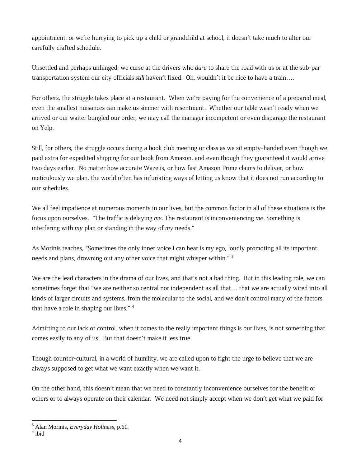appointment, or we're hurrying to pick up a child or grandchild at school, it doesn't take much to alter our carefully crafted schedule.

Unsettled and perhaps unhinged, we curse at the drivers who *dare* to share the road with us or at the sub-par transportation system our city officials *still* haven't fixed. Oh, wouldn't it be nice to have a train….

For others, the struggle takes place at a restaurant. When we're paying for the convenience of a prepared meal, even the smallest nuisances can make us simmer with resentment. Whether our table wasn't ready when we arrived or our waiter bungled our order, we may call the manager incompetent or even disparage the restaurant on Yelp.

Still, for others, the struggle occurs during a book club meeting or class as we sit empty-handed even though we paid extra for expedited shipping for our book from Amazon, and even though they guaranteed it would arrive two days earlier. No matter how accurate Waze is, or how fast Amazon Prime claims to deliver, or how meticulously we plan, the world often has infuriating ways of letting us know that it does not run according to our schedules.

We all feel impatience at numerous moments in our lives, but the common factor in all of these situations is the focus upon ourselves. "The traffic is delaying *me*. The restaurant is inconveniencing *me*. Something is interfering with *my* plan or standing in the way of *my* needs."

As Morinis teaches, "Sometimes the only inner voice I can hear is my ego, loudly promoting all its important needs and plans, drowning out any other voice that might whisper within."<sup>3</sup>

We are the lead characters in the drama of our lives, and that's not a bad thing. But in this leading role, we can sometimes forget that "we are neither so central nor independent as all that… that we are actually wired into all kinds of larger circuits and systems, from the molecular to the social, and we don't control many of the factors that have a role in shaping our lives."<sup>4</sup>

Admitting to our lack of control, when it comes to the really important things is our lives, is not something that comes easily to any of us. But that doesn't make it less true.

Though counter-cultural, in a world of humility, we are called upon to fight the urge to believe that we are always supposed to get what we want exactly when we want it.

On the other hand, this doesn't mean that we need to constantly inconvenience ourselves for the benefit of others or to always operate on their calendar. We need not simply accept when we don't get what we paid for

<sup>3</sup> Alan Morinis, *Everyday Holiness*, p.61. 4

<sup>&</sup>lt;sup>4</sup> ibid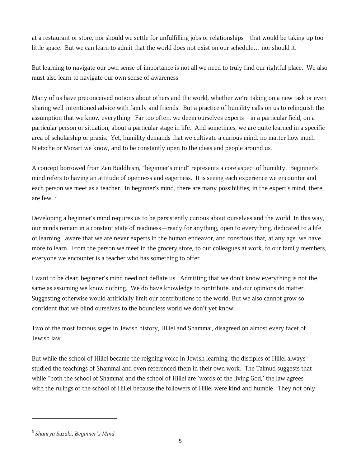at a restaurant or store, nor should we settle for unfulfilling jobs or relationships—that would be taking up too little space. But we can learn to admit that the world does not exist on our schedule… nor should it.

But learning to navigate our own sense of importance is not all we need to truly find our rightful place. We also must also learn to navigate our own sense of awareness.

Many of us have preconceived notions about others and the world, whether we're taking on a new task or even sharing well-intentioned advice with family and friends. But a practice of humility calls on us to relinquish the assumption that we know everything. Far too often, we deem ourselves experts—in a particular field, on a particular person or situation, about a particular stage in life. And sometimes, we are quite learned in a specific area of scholarship or praxis. Yet, humility demands that we cultivate a curious mind, no matter how much Nietzche or Mozart we know, and to be constantly open to the ideas and people around us.

A concept borrowed from Zen Buddhism, "beginner's mind" represents a core aspect of humility. Beginner's mind refers to having an attitude of openness and eagerness. It is seeing each experience we encounter and each person we meet as a teacher. In beginner's mind, there are many possibilities; in the expert's mind, there are few. <sup>5</sup>

Developing a beginner's mind requires us to be persistently curious about ourselves and the world. In this way, our minds remain in a constant state of readiness—ready for anything, open to everything, dedicated to a life of learning...aware that we are never experts in the human endeavor, and conscious that, at any age, we have more to learn. From the person we meet in the grocery store, to our colleagues at work, to our family members, everyone we encounter is a teacher who has something to offer.

I want to be clear, beginner's mind need not deflate us. Admitting that we don't know everything is not the same as assuming we know nothing. We do have knowledge to contribute, and our opinions do matter. Suggesting otherwise would artificially limit our contributions to the world. But we also cannot grow so confident that we blind ourselves to the boundless world we don't yet know.

Two of the most famous sages in Jewish history, Hillel and Shammai, disagreed on almost every facet of Jewish law.

But while the school of Hillel became the reigning voice in Jewish learning, the disciples of Hillel always studied the teachings of Shammai and even referenced them in their own work. The Talmud suggests that while "both the school of Shammai and the school of Hillel are 'words of the living God,' the law agrees with the rulings of the school of Hillel because the followers of Hillel were kind and humble. They not only

<sup>5</sup> *Shunryu Suzuki, Beginner's Mind*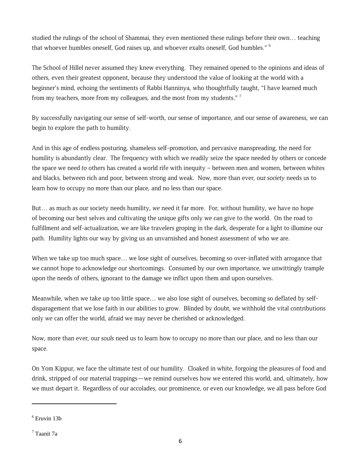studied the rulings of the school of Shammai, they even mentioned these rulings before their own… teaching that whoever humbles oneself, God raises up, and whoever exalts oneself, God humbles." <sup>6</sup>

The School of Hillel never assumed they knew everything. They remained opened to the opinions and ideas of others, even their greatest opponent, because they understood the value of looking at the world with a beginner's mind, echoing the sentiments of Rabbi Hanninya, who thoughtfully taught, "I have learned much from my teachers, more from my colleagues, and the most from my students."<sup>7</sup>

By successfully navigating our sense of self-worth, our sense of importance, and our sense of awareness, we can begin to explore the path to humility.

And in this age of endless posturing, shameless self-promotion, and pervasive manspreading, the need for humility is abundantly clear. The frequency with which we readily seize the space needed *by* others or concede the space we need *to* others has created a world rife with inequity – between men and women, between whites and blacks, between rich and poor, between strong and weak. Now, more than ever, our *society* needs us to learn how to occupy no more than our place, and no less than our space.

But… as much as our society needs humility, *we* need it far more. For, without humility, we have no hope of becoming our best selves and cultivating the unique gifts only we can give to the world. On the road to fulfillment and self-actualization, we are like travelers groping in the dark, desperate for a light to illumine our path. Humility lights our way by giving us an unvarnished and honest assessment of who we are.

When we take up too much space… we lose sight of ourselves, becoming so over-inflated with arrogance that we cannot hope to acknowledge our shortcomings. Consumed by our own importance, we unwittingly trample upon the needs of others, ignorant to the damage we inflict upon them and upon ourselves.

Meanwhile, when we take up too little space… we also lose sight of ourselves, becoming so deflated by selfdisparagement that we lose faith in our abilities to grow. Blinded by doubt, we withhold the vital contributions only *we* can offer the world, afraid we may never be cherished or acknowledged.

Now, more than ever, our *souls* need us to learn how to occupy no more than our place, and no less than our space.

On Yom Kippur, we face the ultimate test of our humility. Cloaked in white, forgoing the pleasures of food and drink, stripped of our material trappings—we remind ourselves how we entered this world, and, ultimately, how we must depart it. Regardless of our accolades, our prominence, or even our knowledge, we all pass before God

<sup>6</sup> Eruvin 13b

<sup>7</sup> Taanit 7a